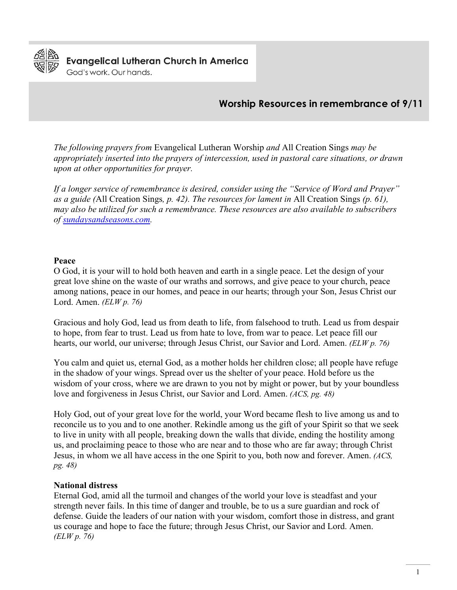

# **Evangelical Lutheran Church in America**

God's work. Our hands.

## **Worship Resources in remembrance of 9/11**

*The following prayers from* Evangelical Lutheran Worship *and* All Creation Sings *may be appropriately inserted into the prayers of intercession, used in pastoral care situations, or drawn upon at other opportunities for prayer.*

*If a longer service of remembrance is desired, consider using the "Service of Word and Prayer" as a guide (*All Creation Sings*, p. 42). The resources for lament in* All Creation Sings *(p. 61), may also be utilized for such a remembrance. These resources are also available to subscribers of [sundaysandseasons.com.](http://www.sundaysandseasons.com/)*

#### **Peace**

O God, it is your will to hold both heaven and earth in a single peace. Let the design of your great love shine on the waste of our wraths and sorrows, and give peace to your church, peace among nations, peace in our homes, and peace in our hearts; through your Son, Jesus Christ our Lord. Amen. *(ELW p. 76)*

Gracious and holy God, lead us from death to life, from falsehood to truth. Lead us from despair to hope, from fear to trust. Lead us from hate to love, from war to peace. Let peace fill our hearts, our world, our universe; through Jesus Christ, our Savior and Lord. Amen. *(ELW p. 76)*

You calm and quiet us, eternal God, as a mother holds her children close; all people have refuge in the shadow of your wings. Spread over us the shelter of your peace. Hold before us the wisdom of your cross, where we are drawn to you not by might or power, but by your boundless love and forgiveness in Jesus Christ, our Savior and Lord. Amen. *(ACS, pg. 48)*

Holy God, out of your great love for the world, your Word became flesh to live among us and to reconcile us to you and to one another. Rekindle among us the gift of your Spirit so that we seek to live in unity with all people, breaking down the walls that divide, ending the hostility among us, and proclaiming peace to those who are near and to those who are far away; through Christ Jesus, in whom we all have access in the one Spirit to you, both now and forever. Amen. *(ACS, pg. 48)*

## **National distress**

Eternal God, amid all the turmoil and changes of the world your love is steadfast and your strength never fails. In this time of danger and trouble, be to us a sure guardian and rock of defense. Guide the leaders of our nation with your wisdom, comfort those in distress, and grant us courage and hope to face the future; through Jesus Christ, our Savior and Lord. Amen. *(ELW p. 76)*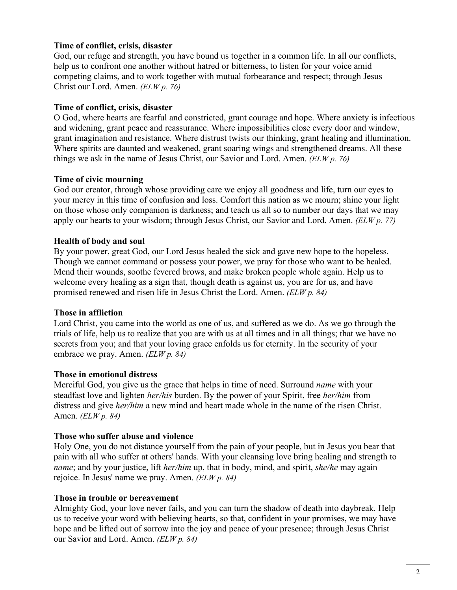## **Time of conflict, crisis, disaster**

God, our refuge and strength, you have bound us together in a common life. In all our conflicts, help us to confront one another without hatred or bitterness, to listen for your voice amid competing claims, and to work together with mutual forbearance and respect; through Jesus Christ our Lord. Amen. *(ELW p. 76)*

## **Time of conflict, crisis, disaster**

O God, where hearts are fearful and constricted, grant courage and hope. Where anxiety is infectious and widening, grant peace and reassurance. Where impossibilities close every door and window, grant imagination and resistance. Where distrust twists our thinking, grant healing and illumination. Where spirits are daunted and weakened, grant soaring wings and strengthened dreams. All these things we ask in the name of Jesus Christ, our Savior and Lord. Amen. *(ELW p. 76)*

## **Time of civic mourning**

God our creator, through whose providing care we enjoy all goodness and life, turn our eyes to your mercy in this time of confusion and loss. Comfort this nation as we mourn; shine your light on those whose only companion is darkness; and teach us all so to number our days that we may apply our hearts to your wisdom; through Jesus Christ, our Savior and Lord. Amen. *(ELW p. 77)*

## **Health of body and soul**

By your power, great God, our Lord Jesus healed the sick and gave new hope to the hopeless. Though we cannot command or possess your power, we pray for those who want to be healed. Mend their wounds, soothe fevered brows, and make broken people whole again. Help us to welcome every healing as a sign that, though death is against us, you are for us, and have promised renewed and risen life in Jesus Christ the Lord. Amen. *(ELW p. 84)*

## **Those in affliction**

Lord Christ, you came into the world as one of us, and suffered as we do. As we go through the trials of life, help us to realize that you are with us at all times and in all things; that we have no secrets from you; and that your loving grace enfolds us for eternity. In the security of your embrace we pray. Amen. *(ELW p. 84)*

## **Those in emotional distress**

Merciful God, you give us the grace that helps in time of need. Surround *name* with your steadfast love and lighten *her/his* burden. By the power of your Spirit, free *her/him* from distress and give *her/him* a new mind and heart made whole in the name of the risen Christ. Amen. *(ELW p. 84)*

## **Those who suffer abuse and violence**

Holy One, you do not distance yourself from the pain of your people, but in Jesus you bear that pain with all who suffer at others' hands. With your cleansing love bring healing and strength to *name*; and by your justice, lift *her/him* up, that in body, mind, and spirit, *she/he* may again rejoice. In Jesus' name we pray. Amen. *(ELW p. 84)*

## **Those in trouble or bereavement**

Almighty God, your love never fails, and you can turn the shadow of death into daybreak. Help us to receive your word with believing hearts, so that, confident in your promises, we may have hope and be lifted out of sorrow into the joy and peace of your presence; through Jesus Christ our Savior and Lord. Amen. *(ELW p. 84)*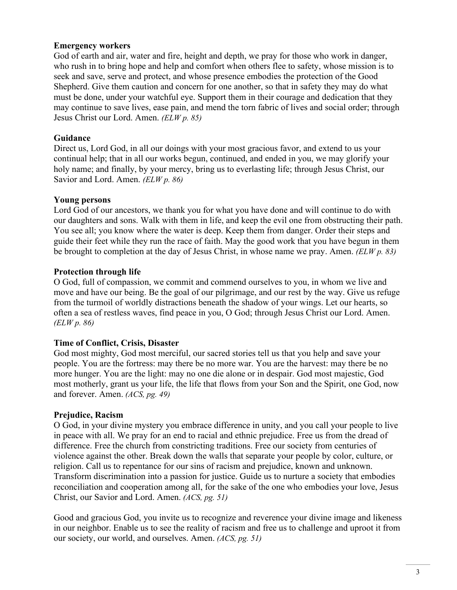## **Emergency workers**

God of earth and air, water and fire, height and depth, we pray for those who work in danger, who rush in to bring hope and help and comfort when others flee to safety, whose mission is to seek and save, serve and protect, and whose presence embodies the protection of the Good Shepherd. Give them caution and concern for one another, so that in safety they may do what must be done, under your watchful eye. Support them in their courage and dedication that they may continue to save lives, ease pain, and mend the torn fabric of lives and social order; through Jesus Christ our Lord. Amen. *(ELW p. 85)*

## **Guidance**

Direct us, Lord God, in all our doings with your most gracious favor, and extend to us your continual help; that in all our works begun, continued, and ended in you, we may glorify your holy name; and finally, by your mercy, bring us to everlasting life; through Jesus Christ, our Savior and Lord. Amen. *(ELW p. 86)*

## **Young persons**

Lord God of our ancestors, we thank you for what you have done and will continue to do with our daughters and sons. Walk with them in life, and keep the evil one from obstructing their path. You see all; you know where the water is deep. Keep them from danger. Order their steps and guide their feet while they run the race of faith. May the good work that you have begun in them be brought to completion at the day of Jesus Christ, in whose name we pray. Amen. *(ELW p. 83)*

## **Protection through life**

O God, full of compassion, we commit and commend ourselves to you, in whom we live and move and have our being. Be the goal of our pilgrimage, and our rest by the way. Give us refuge from the turmoil of worldly distractions beneath the shadow of your wings. Let our hearts, so often a sea of restless waves, find peace in you, O God; through Jesus Christ our Lord. Amen. *(ELW p. 86)*

## **Time of Conflict, Crisis, Disaster**

God most mighty, God most merciful, our sacred stories tell us that you help and save your people. You are the fortress: may there be no more war. You are the harvest: may there be no more hunger. You are the light: may no one die alone or in despair. God most majestic, God most motherly, grant us your life, the life that flows from your Son and the Spirit, one God, now and forever. Amen. *(ACS, pg. 49)*

## **Prejudice, Racism**

O God, in your divine mystery you embrace difference in unity, and you call your people to live in peace with all. We pray for an end to racial and ethnic prejudice. Free us from the dread of difference. Free the church from constricting traditions. Free our society from centuries of violence against the other. Break down the walls that separate your people by color, culture, or religion. Call us to repentance for our sins of racism and prejudice, known and unknown. Transform discrimination into a passion for justice. Guide us to nurture a society that embodies reconciliation and cooperation among all, for the sake of the one who embodies your love, Jesus Christ, our Savior and Lord. Amen. *(ACS, pg. 51)*

Good and gracious God, you invite us to recognize and reverence your divine image and likeness in our neighbor. Enable us to see the reality of racism and free us to challenge and uproot it from our society, our world, and ourselves. Amen. *(ACS, pg. 51)*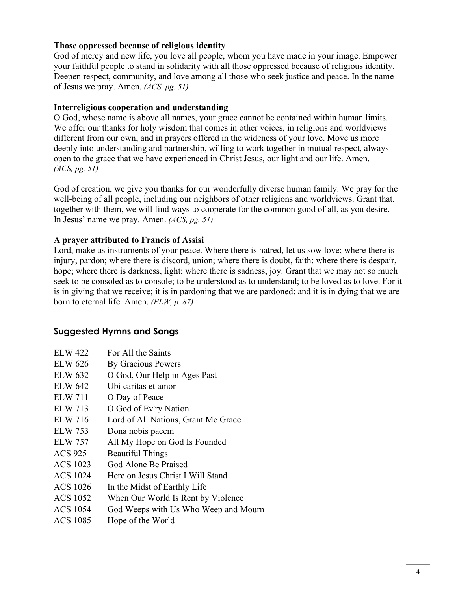## **Those oppressed because of religious identity**

God of mercy and new life, you love all people, whom you have made in your image. Empower your faithful people to stand in solidarity with all those oppressed because of religious identity. Deepen respect, community, and love among all those who seek justice and peace. In the name of Jesus we pray. Amen. *(ACS, pg. 51)*

## **Interreligious cooperation and understanding**

O God, whose name is above all names, your grace cannot be contained within human limits. We offer our thanks for holy wisdom that comes in other voices, in religions and worldviews different from our own, and in prayers offered in the wideness of your love. Move us more deeply into understanding and partnership, willing to work together in mutual respect, always open to the grace that we have experienced in Christ Jesus, our light and our life. Amen. *(ACS, pg. 51)*

God of creation, we give you thanks for our wonderfully diverse human family. We pray for the well-being of all people, including our neighbors of other religions and worldviews. Grant that, together with them, we will find ways to cooperate for the common good of all, as you desire. In Jesus' name we pray. Amen. *(ACS, pg. 51)*

## **A prayer attributed to Francis of Assisi**

Lord, make us instruments of your peace. Where there is hatred, let us sow love; where there is injury, pardon; where there is discord, union; where there is doubt, faith; where there is despair, hope; where there is darkness, light; where there is sadness, joy. Grant that we may not so much seek to be consoled as to console; to be understood as to understand; to be loved as to love. For it is in giving that we receive; it is in pardoning that we are pardoned; and it is in dying that we are born to eternal life. Amen. *(ELW, p. 87)*

## **Suggested Hymns and Songs**

| <b>ELW 422</b> |  | For All the Saints |
|----------------|--|--------------------|
|                |  |                    |

- ELW 626 By Gracious Powers
- ELW 632 O God, Our Help in Ages Past
- ELW 642 Ubi caritas et amor
- ELW 711 O Day of Peace
- ELW 713 O God of Ev'ry Nation
- ELW 716 Lord of All Nations, Grant Me Grace
- ELW 753 Dona nobis pacem
- ELW 757 All My Hope on God Is Founded
- ACS 925 Beautiful Things
- ACS 1023 God Alone Be Praised
- ACS 1024 Here on Jesus Christ I Will Stand
- ACS 1026 In the Midst of Earthly Life
- ACS 1052 When Our World Is Rent by Violence
- ACS 1054 God Weeps with Us Who Weep and Mourn
- ACS 1085 Hope of the World